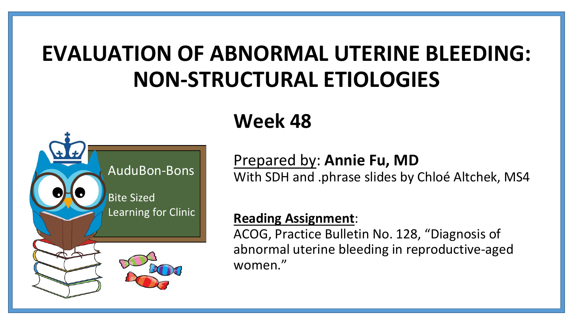## **EVALUATION OF ABNORMAL UTERINE BLEEDING: NON-STRUCTURAL ETIOLOGIES**



### **Week 48**

### Prepared by: **Annie Fu, MD**

With SDH and .phrase slides by Chloé Altchek, MS4

#### **Reading Assignment**:

ACOG, Practice Bulletin No. 128, "Diagnosis of abnormal uterine bleeding in reproductive-aged women."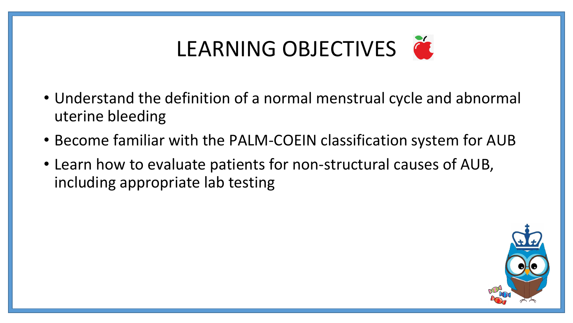# LEARNING OBJECTIVES

- Understand the definition of a normal menstrual cycle and abnormal uterine bleeding
- Become familiar with the PALM-COEIN classification system for AUB
- Learn how to evaluate patients for non-structural causes of AUB, including appropriate lab testing

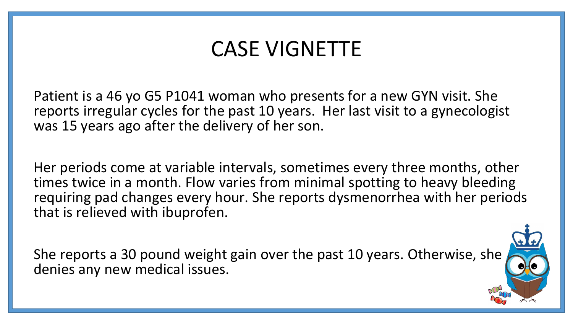### CASE VIGNETTE

Patient is a 46 yo G5 P1041 woman who presents for a new GYN visit. She reports irregular cycles for the past 10 years. Her last visit to a gynecologist was 15 years ago after the delivery of her son.

Her periods come at variable intervals, sometimes every three months, other times twice in a month. Flow varies from minimal spotting to heavy bleeding requiring pad changes every hour. She reports dysmenorrhea with her periods that is relieved with ibuprofen.

She reports a 30 pound weight gain over the past 10 years. Otherwise, she denies any new medical issues.

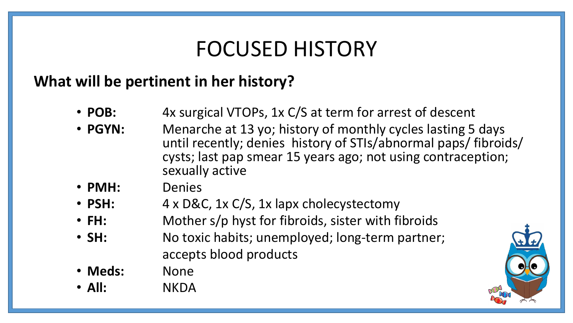### FOCUSED HISTORY

### **What will be pertinent in her history?**

- **POB:** 4x surgical VTOPs, 1x C/S at term for arrest of descent
- **PGYN:** Menarche at 13 yo; history of monthly cycles lasting 5 days until recently; denies history of STIs/abnormal paps/ fibroids/ cysts; last pap smear 15 years ago; not using contraception; sexually active
- **PMH:** Denies
- **PSH:** 4 x D&C, 1x C/S, 1x lapx cholecystectomy
- FH: Mother s/p hyst for fibroids, sister with fibroids
- **SH:** No toxic habits; unemployed; long-term partner; accepts blood products
- **Meds:** None
- **All:** NKDA

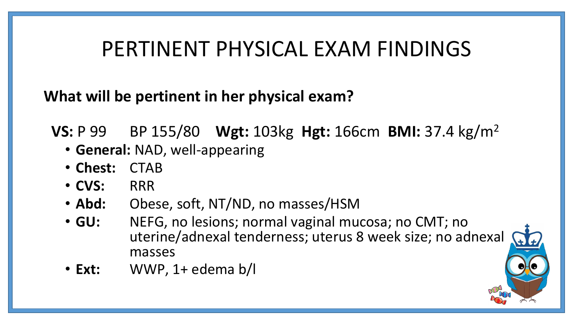### PERTINENT PHYSICAL EXAM FINDINGS

**What will be pertinent in her physical exam?**

**VS:** P 99 BP 155/80 **Wgt:** 103kg **Hgt:** 166cm **BMI:** 37.4 kg/m<sup>2</sup>

- **General:** NAD, well-appearing
- **Chest:** CTAB
- **CVS:** RRR
- **Abd:** Obese, soft, NT/ND, no masses/HSM
- **GU:** NEFG, no lesions; normal vaginal mucosa; no CMT; no uterine/adnexal tenderness; uterus 8 week size; no adnexal masses
- **Ext:** WWP, 1+ edema b/l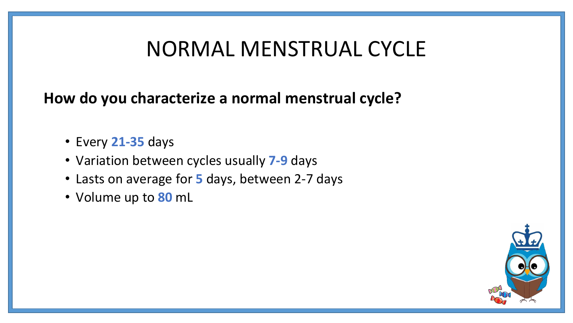### NORMAL MENSTRUAL CYCLE

**How do you characterize a normal menstrual cycle?**

- Every **21-35** days
- Variation between cycles usually **7-9** days
- Lasts on average for **5** days, between 2-7 days
- Volume up to **80** mL

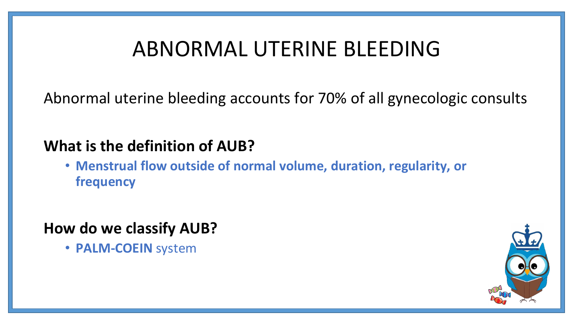## ABNORMAL UTERINE BLEEDING

Abnormal uterine bleeding accounts for 70% of all gynecologic consults

#### **What is the definition of AUB?**

• **Menstrual flow outside of normal volume, duration, regularity, or frequency** 

#### **How do we classify AUB?**

• **PALM-COEIN** system

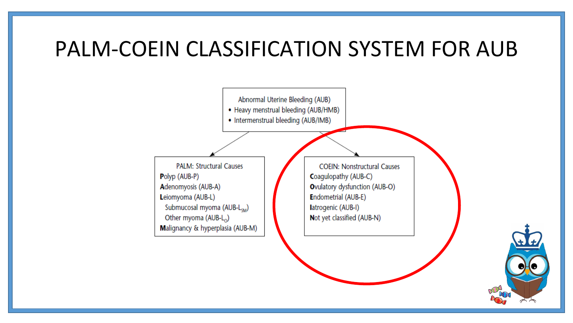### PALM-COEIN CLASSIFICATION SYSTEM FOR AUB



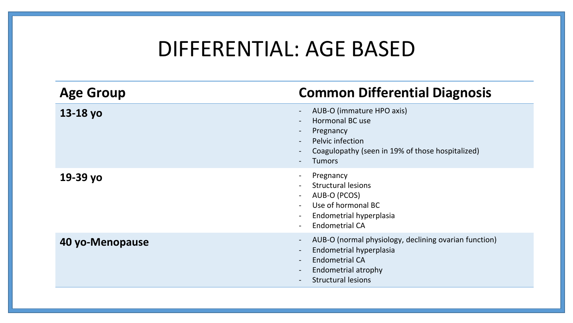### DIFFERENTIAL: AGE BASED

| <b>Age Group</b> | <b>Common Differential Diagnosis</b>                                                                                                                          |
|------------------|---------------------------------------------------------------------------------------------------------------------------------------------------------------|
| $13-18$ yo       | AUB-O (immature HPO axis)<br>Hormonal BC use<br>Pregnancy<br>$\sim$<br>Pelvic infection<br>Coagulopathy (seen in 19% of those hospitalized)<br><b>Tumors</b>  |
| 19-39 yo         | Pregnancy<br><b>Structural lesions</b><br>AUB-O (PCOS)<br>Use of hormonal BC<br>Endometrial hyperplasia<br><b>Endometrial CA</b>                              |
| 40 yo-Menopause  | AUB-O (normal physiology, declining ovarian function)<br>Endometrial hyperplasia<br><b>Endometrial CA</b><br>Endometrial atrophy<br><b>Structural lesions</b> |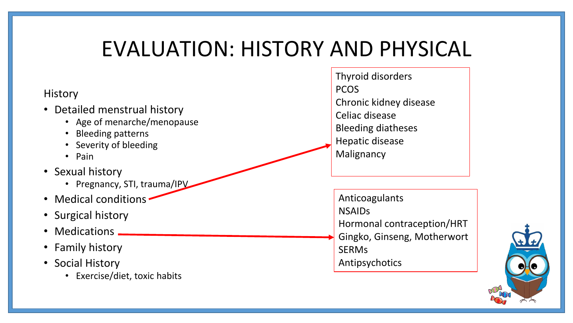### EVALUATION: HISTORY AND PHYSICAL

#### **History**

- Detailed menstrual history
	- Age of menarche/menopause
	- Bleeding patterns
	- Severity of bleeding
	- Pain
- Sexual history
	- Pregnancy, STI, trauma/IPV
- Medical conditions
- Surgical history
- Medications \_
- Family history
- Social History
	- Exercise/diet, toxic habits

Thyroid disorders **PCOS** Chronic kidney disease Celiac disease Bleeding diatheses Hepatic disease Malignancy

Anticoagulants NSAIDs Hormonal contraception/HRT Gingko, Ginseng, Motherwort **SERM<sub>s</sub>** Antipsychotics

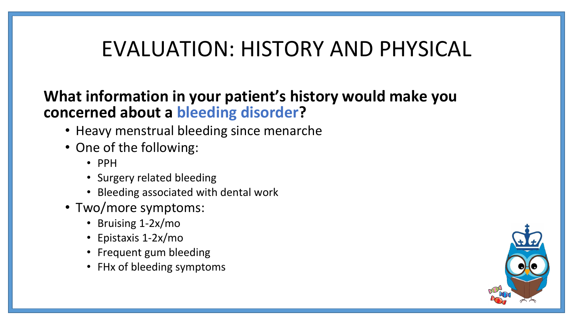### EVALUATION: HISTORY AND PHYSICAL

### **What information in your patient's history would make you concerned about a bleeding disorder?**

- Heavy menstrual bleeding since menarche
- One of the following:
	- PPH
	- Surgery related bleeding
	- Bleeding associated with dental work
- Two/more symptoms:
	- Bruising 1-2x/mo
	- Epistaxis 1-2x/mo
	- Frequent gum bleeding
	- FHx of bleeding symptoms

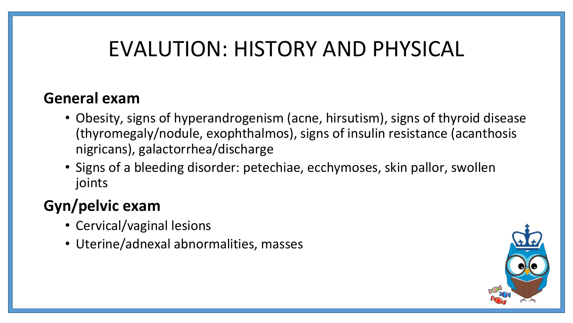## EVALUTION: HISTORY AND PHYSICAL

#### **General exam**

- Obesity, signs of hyperandrogenism (acne, hirsutism), signs of thyroid disease (thyromegaly/nodule, exophthalmos), signs of insulin resistance (acanthosis nigricans), galactorrhea/discharge
- Signs of a bleeding disorder: petechiae, ecchymoses, skin pallor, swollen joints

### **Gyn/pelvic exam**

- Cervical/vaginal lesions
- Uterine/adnexal abnormalities, masses

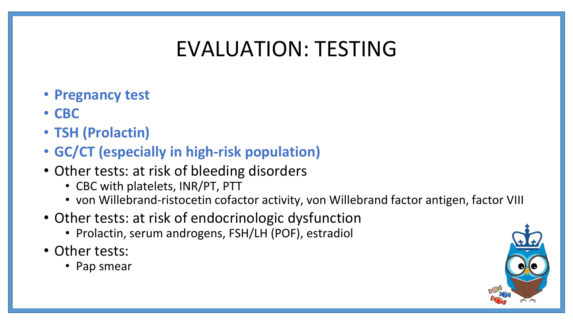## EVALUATION: TESTING

- **Pregnancy test**
- **CBC**
- **TSH (Prolactin)**
- **GC/CT (especially in high-risk population)**
- Other tests: at risk of bleeding disorders
	- CBC with platelets, INR/PT, PTT
	- von Willebrand-ristocetin cofactor activity, von Willebrand factor antigen, factor VIII
- Other tests: at risk of endocrinologic dysfunction
	- Prolactin, serum androgens, FSH/LH (POF), estradiol
- Other tests:
	- Pap smear

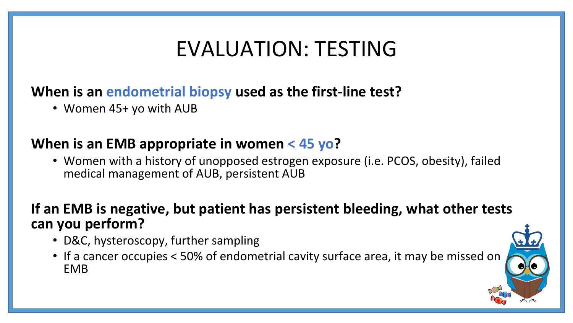## EVALUATION: TESTING

#### **When is an endometrial biopsy used as the first-line test?**

• Women 45+ yo with AUB

#### **When is an EMB appropriate in women < 45 yo?**

• Women with a history of unopposed estrogen exposure (i.e. PCOS, obesity), failed medical management of AUB, persistent AUB

#### **If an EMB is negative, but patient has persistent bleeding, what other tests can you perform?**

- D&C, hysteroscopy, further sampling
- If a cancer occupies < 50% of endometrial cavity surface area, it may be missed on EMB

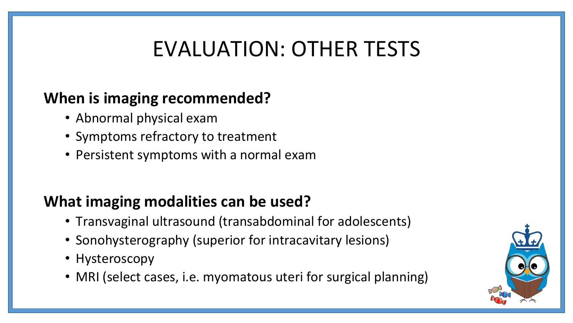## EVALUATION: OTHER TESTS

### **When is imaging recommended?**

- Abnormal physical exam
- Symptoms refractory to treatment
- Persistent symptoms with a normal exam

### **What imaging modalities can be used?**

- Transvaginal ultrasound (transabdominal for adolescents)
- Sonohysterography (superior for intracavitary lesions)
- Hysteroscopy
- MRI (select cases, i.e. myomatous uteri for surgical planning)

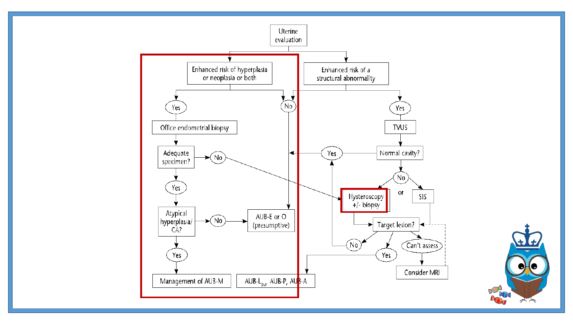

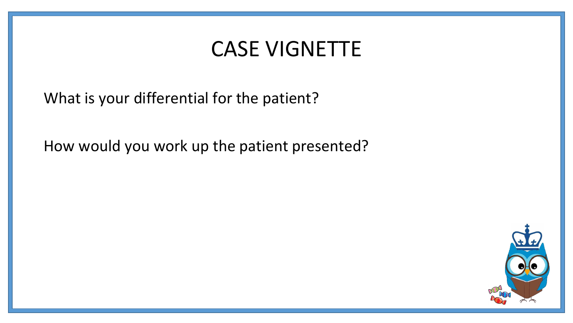### CASE VIGNETTE

What is your differential for the patient?

How would you work up the patient presented?

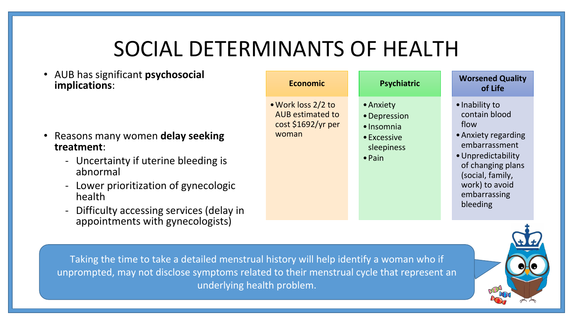## SOCIAL DETERMINANTS OF HEALTH

• AUB has significant **psychosocial implications**:

- Reasons many women **delay seeking treatment**:
	- Uncertainty if uterine bleeding is abnormal
	- Lower prioritization of gynecologic health
	- Difficulty accessing services (delay in appointments with gynecologists)



Taking the time to take a detailed menstrual history will help identify a woman who if unprompted, may not disclose symptoms related to their menstrual cycle that represent an underlying health problem.

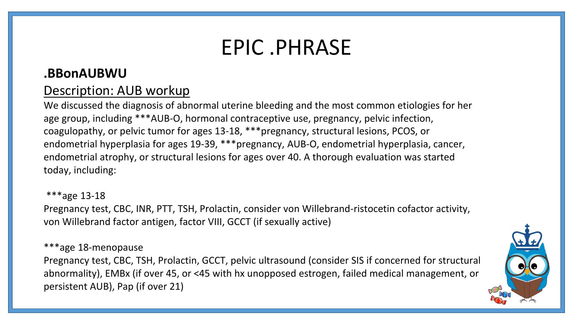### EPIC .PHRASE

#### **.BBonAUBWU**

#### Description: AUB workup

We discussed the diagnosis of abnormal uterine bleeding and the most common etiologies for her age group, including \*\*\*AUB-O, hormonal contraceptive use, pregnancy, pelvic infection, coagulopathy, or pelvic tumor for ages 13-18, \*\*\*pregnancy, structural lesions, PCOS, or endometrial hyperplasia for ages 19-39, \*\*\*pregnancy, AUB-O, endometrial hyperplasia, cancer, endometrial atrophy, or structural lesions for ages over 40. A thorough evaluation was started today, including:

\*\*\*age 13-18 Pregnancy test, CBC, INR, PTT, TSH, Prolactin, consider von Willebrand-ristocetin cofactor activity, von Willebrand factor antigen, factor VIII, GCCT (if sexually active)

\*\*\*age 18-menopause

Pregnancy test, CBC, TSH, Prolactin, GCCT, pelvic ultrasound (consider SIS if concerned for structural abnormality), EMBx (if over 45, or <45 with hx unopposed estrogen, failed medical management, or persistent AUB), Pap (if over 21)

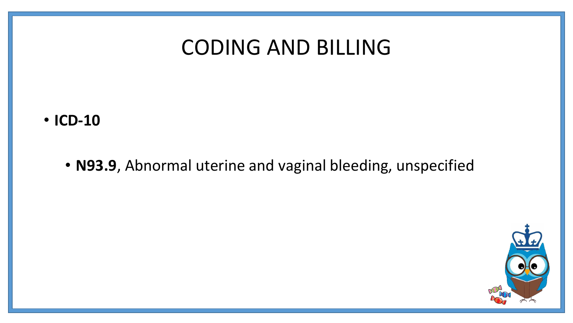### CODING AND BILLING

#### • **ICD-10**

• **N93.9**, Abnormal uterine and vaginal bleeding, unspecified